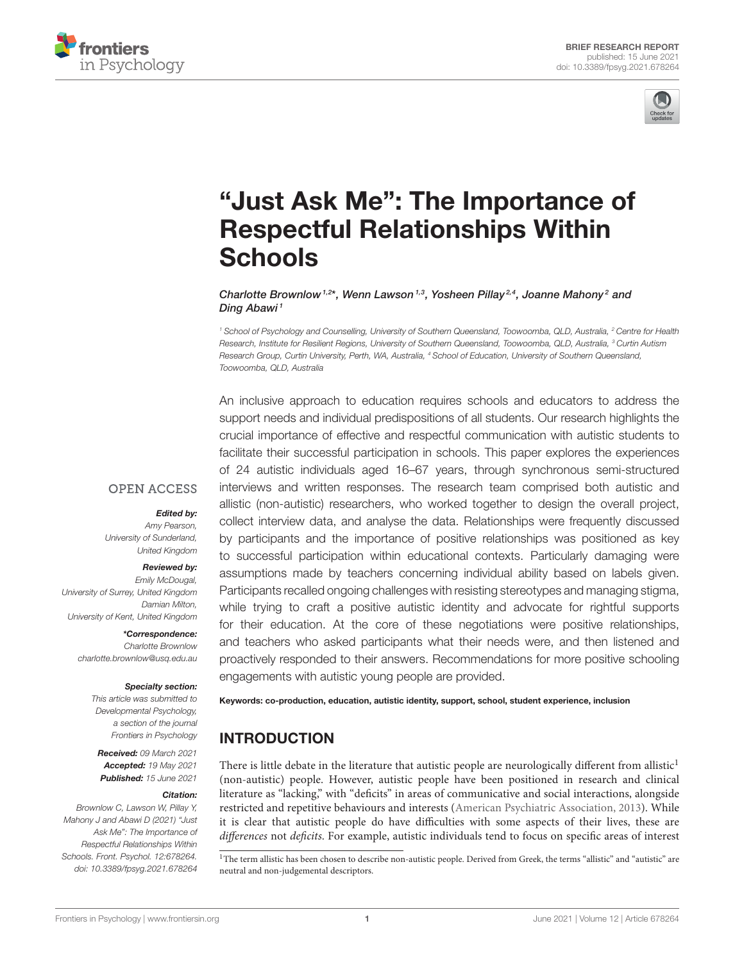



# ["Just Ask Me": The Importance of](https://www.frontiersin.org/articles/10.3389/fpsyg.2021.678264/full) Respectful Relationships Within **Schools**

Charlotte Brownlow<sup>1,2\*</sup>, Wenn Lawson<sup>1,3</sup>, Yosheen Pillay<sup>2,4</sup>, Joanne Mahony<sup>2</sup> and Ding Abawi<sup>1</sup>

*<sup>1</sup> School of Psychology and Counselling, University of Southern Queensland, Toowoomba, QLD, Australia, <sup>2</sup> Centre for Health Research, Institute for Resilient Regions, University of Southern Queensland, Toowoomba, QLD, Australia, <sup>3</sup> Curtin Autism Research Group, Curtin University, Perth, WA, Australia, <sup>4</sup> School of Education, University of Southern Queensland, Toowoomba, QLD, Australia*

An inclusive approach to education requires schools and educators to address the support needs and individual predispositions of all students. Our research highlights the crucial importance of effective and respectful communication with autistic students to facilitate their successful participation in schools. This paper explores the experiences of 24 autistic individuals aged 16–67 years, through synchronous semi-structured interviews and written responses. The research team comprised both autistic and allistic (non-autistic) researchers, who worked together to design the overall project, collect interview data, and analyse the data. Relationships were frequently discussed by participants and the importance of positive relationships was positioned as key to successful participation within educational contexts. Particularly damaging were assumptions made by teachers concerning individual ability based on labels given. Participants recalled ongoing challenges with resisting stereotypes and managing stigma, while trying to craft a positive autistic identity and advocate for rightful supports for their education. At the core of these negotiations were positive relationships, and teachers who asked participants what their needs were, and then listened and proactively responded to their answers. Recommendations for more positive schooling engagements with autistic young people are provided.

# **OPEN ACCESS**

# Edited by:

*Amy Pearson, University of Sunderland, United Kingdom*

### Reviewed by:

*Emily McDougal, University of Surrey, United Kingdom Damian Milton, University of Kent, United Kingdom*

> \*Correspondence: *Charlotte Brownlow [charlotte.brownlow@usq.edu.au](mailto:charlotte.brownlow@usq.edu.au)*

#### Specialty section:

*This article was submitted to Developmental Psychology, a section of the journal Frontiers in Psychology*

Received: *09 March 2021* Accepted: *19 May 2021* Published: *15 June 2021*

#### Citation:

*Brownlow C, Lawson W, Pillay Y, Mahony J and Abawi D (2021) "Just Ask Me": The Importance of Respectful Relationships Within Schools. Front. Psychol. 12:678264. doi: [10.3389/fpsyg.2021.678264](https://doi.org/10.3389/fpsyg.2021.678264)*

Keywords: co-production, education, autistic identity, support, school, student experience, inclusion

# INTRODUCTION

There is little debate in the literature that autistic people are neurologically different from allistic<sup>1</sup> (non-autistic) people. However, autistic people have been positioned in research and clinical literature as "lacking," with "deficits" in areas of communicative and social interactions, alongside restricted and repetitive behaviours and interests [\(American Psychiatric Association, 2013\)](#page-6-0). While it is clear that autistic people do have difficulties with some aspects of their lives, these are differences not deficits. For example, autistic individuals tend to focus on specific areas of interest

<sup>1</sup>The term allistic has been chosen to describe non-autistic people. Derived from Greek, the terms "allistic" and "autistic" are neutral and non-judgemental descriptors.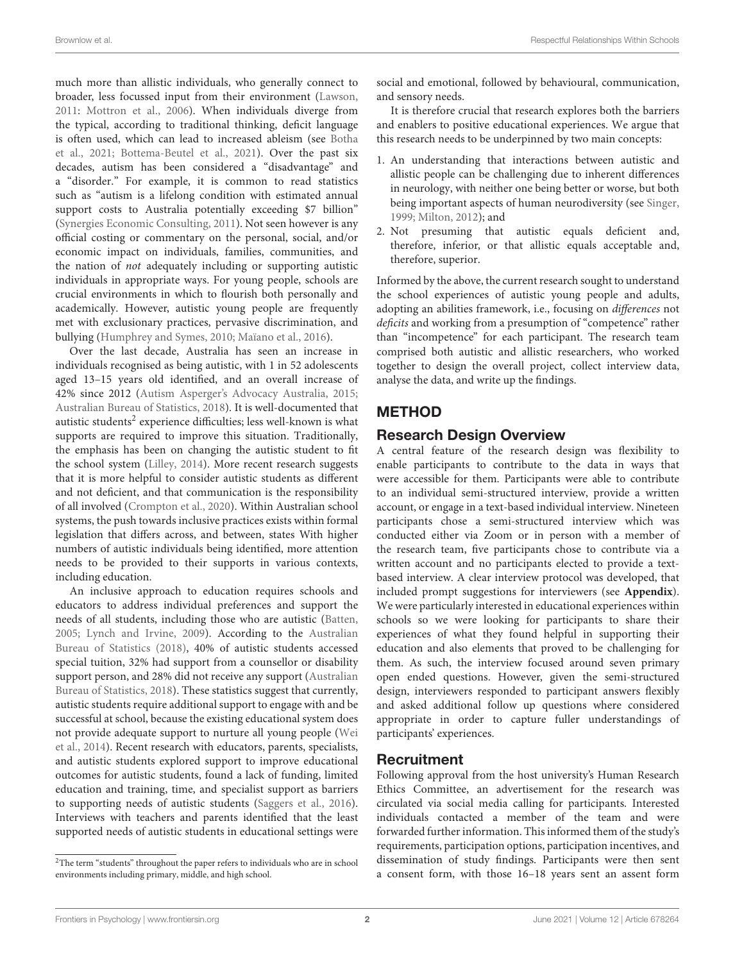much more than allistic individuals, who generally connect to broader, less focussed input from their environment [\(Lawson,](#page-6-1) [2011:](#page-6-1) [Mottron et al., 2006\)](#page-6-2). When individuals diverge from the typical, according to traditional thinking, deficit language is often used, which can lead to increased ableism (see Botha et al., [2021;](#page-6-3) [Bottema-Beutel et al., 2021\)](#page-6-4). Over the past six decades, autism has been considered a "disadvantage" and a "disorder." For example, it is common to read statistics such as "autism is a lifelong condition with estimated annual support costs to Australia potentially exceeding \$7 billion" [\(Synergies Economic Consulting, 2011\)](#page-6-5). Not seen however is any official costing or commentary on the personal, social, and/or economic impact on individuals, families, communities, and the nation of not adequately including or supporting autistic individuals in appropriate ways. For young people, schools are crucial environments in which to flourish both personally and academically. However, autistic young people are frequently met with exclusionary practices, pervasive discrimination, and bullying [\(Humphrey and Symes, 2010;](#page-6-6) [Maïano et al., 2016\)](#page-6-7).

Over the last decade, Australia has seen an increase in individuals recognised as being autistic, with 1 in 52 adolescents aged 13–15 years old identified, and an overall increase of 42% since 2012 [\(Autism Asperger's Advocacy Australia, 2015;](#page-6-8) [Australian Bureau of Statistics, 2018\)](#page-6-9). It is well-documented that autistic students $^2$  $^2$  experience difficulties; less well-known is what supports are required to improve this situation. Traditionally, the emphasis has been on changing the autistic student to fit the school system [\(Lilley, 2014\)](#page-6-10). More recent research suggests that it is more helpful to consider autistic students as different and not deficient, and that communication is the responsibility of all involved [\(Crompton et al., 2020\)](#page-6-11). Within Australian school systems, the push towards inclusive practices exists within formal legislation that differs across, and between, states With higher numbers of autistic individuals being identified, more attention needs to be provided to their supports in various contexts, including education.

An inclusive approach to education requires schools and educators to address individual preferences and support the needs of all students, including those who are autistic [\(Batten,](#page-6-12) [2005;](#page-6-12) [Lynch and Irvine, 2009\)](#page-6-13). According to the Australian Bureau of Statistics [\(2018\)](#page-6-9), 40% of autistic students accessed special tuition, 32% had support from a counsellor or disability support person, and 28% did not receive any support (Australian Bureau of Statistics, [2018\)](#page-6-9). These statistics suggest that currently, autistic students require additional support to engage with and be successful at school, because the existing educational system does not provide adequate support to nurture all young people (Wei et al., [2014\)](#page-6-14). Recent research with educators, parents, specialists, and autistic students explored support to improve educational outcomes for autistic students, found a lack of funding, limited education and training, time, and specialist support as barriers to supporting needs of autistic students [\(Saggers et al., 2016\)](#page-6-15). Interviews with teachers and parents identified that the least supported needs of autistic students in educational settings were social and emotional, followed by behavioural, communication, and sensory needs.

It is therefore crucial that research explores both the barriers and enablers to positive educational experiences. We argue that this research needs to be underpinned by two main concepts:

- 1. An understanding that interactions between autistic and allistic people can be challenging due to inherent differences in neurology, with neither one being better or worse, but both being important aspects of human neurodiversity (see [Singer,](#page-6-16) [1999;](#page-6-16) [Milton, 2012\)](#page-6-17); and
- 2. Not presuming that autistic equals deficient and, therefore, inferior, or that allistic equals acceptable and, therefore, superior.

Informed by the above, the current research sought to understand the school experiences of autistic young people and adults, adopting an abilities framework, i.e., focusing on differences not deficits and working from a presumption of "competence" rather than "incompetence" for each participant. The research team comprised both autistic and allistic researchers, who worked together to design the overall project, collect interview data, analyse the data, and write up the findings.

# METHOD

# Research Design Overview

A central feature of the research design was flexibility to enable participants to contribute to the data in ways that were accessible for them. Participants were able to contribute to an individual semi-structured interview, provide a written account, or engage in a text-based individual interview. Nineteen participants chose a semi-structured interview which was conducted either via Zoom or in person with a member of the research team, five participants chose to contribute via a written account and no participants elected to provide a textbased interview. A clear interview protocol was developed, that included prompt suggestions for interviewers (see **[Appendix](#page-7-0)**). We were particularly interested in educational experiences within schools so we were looking for participants to share their experiences of what they found helpful in supporting their education and also elements that proved to be challenging for them. As such, the interview focused around seven primary open ended questions. However, given the semi-structured design, interviewers responded to participant answers flexibly and asked additional follow up questions where considered appropriate in order to capture fuller understandings of participants' experiences.

# Recruitment

Following approval from the host university's Human Research Ethics Committee, an advertisement for the research was circulated via social media calling for participants. Interested individuals contacted a member of the team and were forwarded further information. This informed them of the study's requirements, participation options, participation incentives, and dissemination of study findings. Participants were then sent a consent form, with those 16–18 years sent an assent form

<span id="page-1-0"></span> $2$ The term "students" throughout the paper refers to individuals who are in school environments including primary, middle, and high school.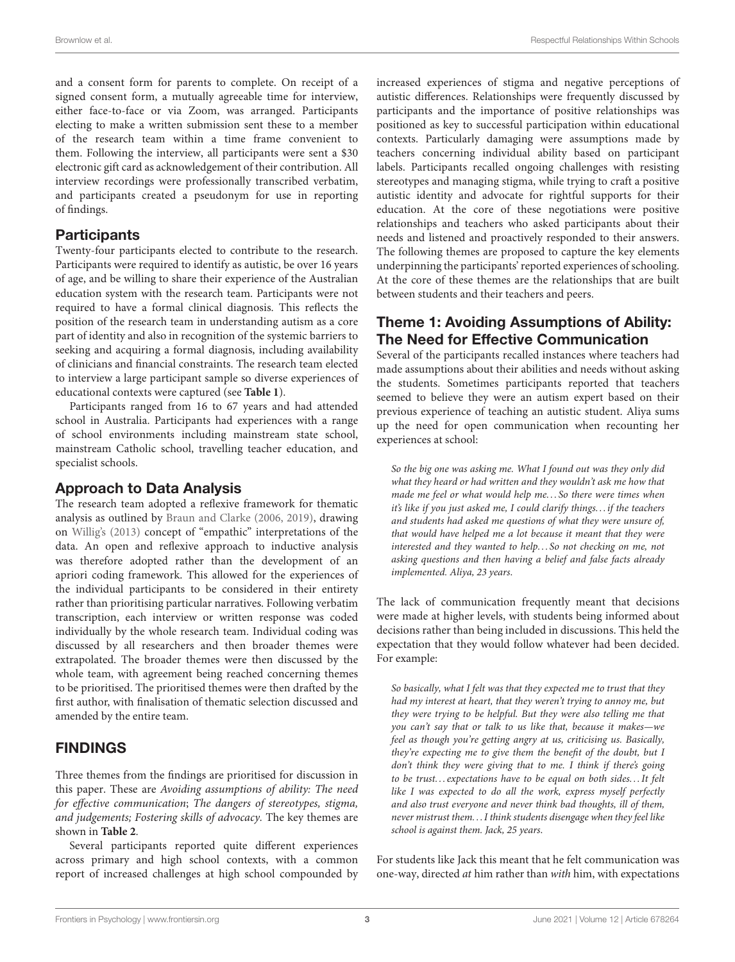and a consent form for parents to complete. On receipt of a signed consent form, a mutually agreeable time for interview, either face-to-face or via Zoom, was arranged. Participants electing to make a written submission sent these to a member of the research team within a time frame convenient to them. Following the interview, all participants were sent a \$30 electronic gift card as acknowledgement of their contribution. All interview recordings were professionally transcribed verbatim, and participants created a pseudonym for use in reporting of findings.

### **Participants**

Twenty-four participants elected to contribute to the research. Participants were required to identify as autistic, be over 16 years of age, and be willing to share their experience of the Australian education system with the research team. Participants were not required to have a formal clinical diagnosis. This reflects the position of the research team in understanding autism as a core part of identity and also in recognition of the systemic barriers to seeking and acquiring a formal diagnosis, including availability of clinicians and financial constraints. The research team elected to interview a large participant sample so diverse experiences of educational contexts were captured (see **[Table 1](#page-3-0)**).

Participants ranged from 16 to 67 years and had attended school in Australia. Participants had experiences with a range of school environments including mainstream state school, mainstream Catholic school, travelling teacher education, and specialist schools.

# Approach to Data Analysis

The research team adopted a reflexive framework for thematic analysis as outlined by [Braun and Clarke \(2006,](#page-6-18) [2019\)](#page-6-19), drawing on [Willig's \(2013\)](#page-6-20) concept of "empathic" interpretations of the data. An open and reflexive approach to inductive analysis was therefore adopted rather than the development of an apriori coding framework. This allowed for the experiences of the individual participants to be considered in their entirety rather than prioritising particular narratives. Following verbatim transcription, each interview or written response was coded individually by the whole research team. Individual coding was discussed by all researchers and then broader themes were extrapolated. The broader themes were then discussed by the whole team, with agreement being reached concerning themes to be prioritised. The prioritised themes were then drafted by the first author, with finalisation of thematic selection discussed and amended by the entire team.

# FINDINGS

Three themes from the findings are prioritised for discussion in this paper. These are Avoiding assumptions of ability: The need for effective communication; The dangers of stereotypes, stigma, and judgements; Fostering skills of advocacy. The key themes are shown in **[Table 2](#page-4-0)**.

Several participants reported quite different experiences across primary and high school contexts, with a common report of increased challenges at high school compounded by increased experiences of stigma and negative perceptions of autistic differences. Relationships were frequently discussed by participants and the importance of positive relationships was positioned as key to successful participation within educational contexts. Particularly damaging were assumptions made by teachers concerning individual ability based on participant labels. Participants recalled ongoing challenges with resisting stereotypes and managing stigma, while trying to craft a positive autistic identity and advocate for rightful supports for their education. At the core of these negotiations were positive relationships and teachers who asked participants about their needs and listened and proactively responded to their answers. The following themes are proposed to capture the key elements underpinning the participants' reported experiences of schooling. At the core of these themes are the relationships that are built between students and their teachers and peers.

# Theme 1: Avoiding Assumptions of Ability: The Need for Effective Communication

Several of the participants recalled instances where teachers had made assumptions about their abilities and needs without asking the students. Sometimes participants reported that teachers seemed to believe they were an autism expert based on their previous experience of teaching an autistic student. Aliya sums up the need for open communication when recounting her experiences at school:

So the big one was asking me. What I found out was they only did what they heard or had written and they wouldn't ask me how that made me feel or what would help me. . . So there were times when it's like if you just asked me, I could clarify things. . . if the teachers and students had asked me questions of what they were unsure of, that would have helped me a lot because it meant that they were interested and they wanted to help. . . So not checking on me, not asking questions and then having a belief and false facts already implemented. Aliya, 23 years.

The lack of communication frequently meant that decisions were made at higher levels, with students being informed about decisions rather than being included in discussions. This held the expectation that they would follow whatever had been decided. For example:

So basically, what I felt was that they expected me to trust that they had my interest at heart, that they weren't trying to annoy me, but they were trying to be helpful. But they were also telling me that you can't say that or talk to us like that, because it makes—we feel as though you're getting angry at us, criticising us. Basically, they're expecting me to give them the benefit of the doubt, but I don't think they were giving that to me. I think if there's going to be trust... expectations have to be equal on both sides... It felt like I was expected to do all the work, express myself perfectly and also trust everyone and never think bad thoughts, ill of them, never mistrust them. . . I think students disengage when they feel like school is against them. Jack, 25 years.

For students like Jack this meant that he felt communication was one-way, directed at him rather than with him, with expectations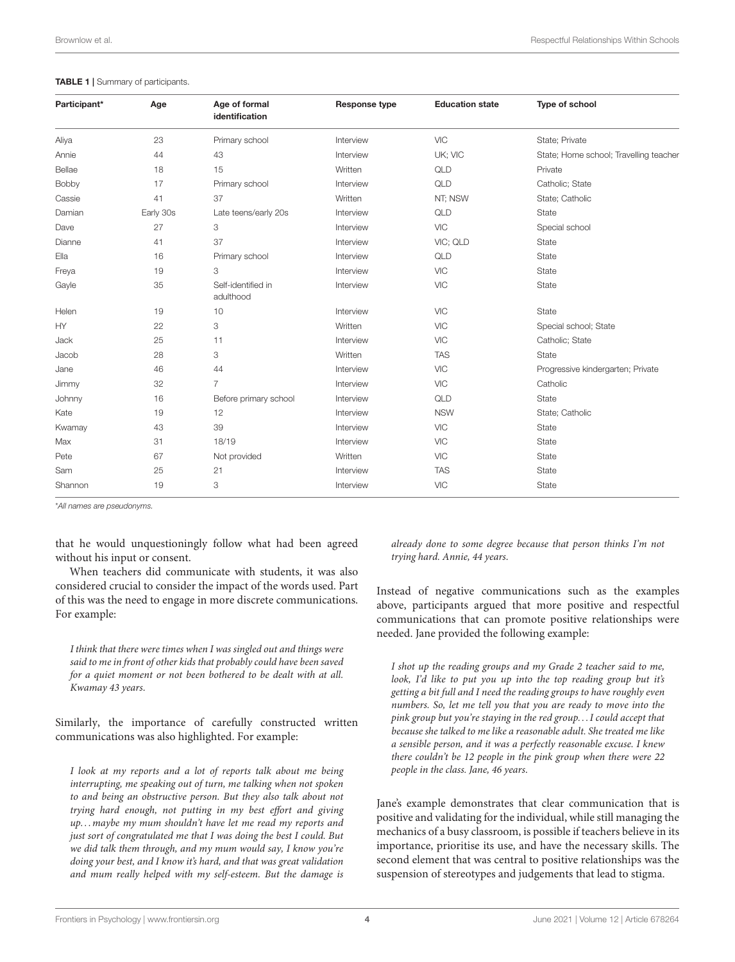#### <span id="page-3-0"></span>TABLE 1 | Summary of participants.

| Participant* | Age       | Age of formal<br>identification | Response type | <b>Education state</b> | Type of school                         |
|--------------|-----------|---------------------------------|---------------|------------------------|----------------------------------------|
| Aliya        | 23        | Primary school                  | Interview     | <b>VIC</b>             | State; Private                         |
| Annie        | 44        | 43                              | Interview     | UK; VIC                | State; Home school; Travelling teacher |
| Bellae       | 18        | 15                              | Written       | QLD                    | Private                                |
| Bobby        | 17        | Primary school                  | Interview     | QLD                    | Catholic; State                        |
| Cassie       | 41        | 37                              | Written       | NT; NSW                | State; Catholic                        |
| Damian       | Early 30s | Late teens/early 20s            | Interview     | QLD                    | State                                  |
| Dave         | 27        | 3                               | Interview     | <b>VIC</b>             | Special school                         |
| Dianne       | 41        | 37                              | Interview     | VIC; QLD               | State                                  |
| Ella         | 16        | Primary school                  | Interview     | QLD                    | State                                  |
| Freya        | 19        | 3                               | Interview     | <b>VIC</b>             | State                                  |
| Gayle        | 35        | Self-identified in<br>adulthood | Interview     | <b>VIC</b>             | State                                  |
| Helen        | 19        | 10                              | Interview     | <b>VIC</b>             | State                                  |
| HY.          | 22        | 3                               | Written       | <b>VIC</b>             | Special school; State                  |
| Jack         | 25        | 11                              | Interview     | <b>VIC</b>             | Catholic; State                        |
| Jacob        | 28        | 3                               | Written       | <b>TAS</b>             | State                                  |
| Jane         | 46        | 44                              | Interview     | <b>VIC</b>             | Progressive kindergarten; Private      |
| Jimmy        | 32        | $\overline{7}$                  | Interview     | <b>VIC</b>             | Catholic                               |
| Johnny       | 16        | Before primary school           | Interview     | QLD                    | State                                  |
| Kate         | 19        | 12                              | Interview     | <b>NSW</b>             | State; Catholic                        |
| Kwamay       | 43        | 39                              | Interview     | <b>VIC</b>             | State                                  |
| Max          | 31        | 18/19                           | Interview     | <b>VIC</b>             | State                                  |
| Pete         | 67        | Not provided                    | Written       | <b>VIC</b>             | State                                  |
| Sam          | 25        | 21                              | Interview     | <b>TAS</b>             | State                                  |
| Shannon      | 19        | 3                               | Interview     | <b>VIC</b>             | State                                  |

\**All names are pseudonyms.*

that he would unquestioningly follow what had been agreed without his input or consent.

When teachers did communicate with students, it was also considered crucial to consider the impact of the words used. Part of this was the need to engage in more discrete communications. For example:

I think that there were times when I was singled out and things were said to me in front of other kids that probably could have been saved for a quiet moment or not been bothered to be dealt with at all. Kwamay 43 years.

Similarly, the importance of carefully constructed written communications was also highlighted. For example:

I look at my reports and a lot of reports talk about me being interrupting, me speaking out of turn, me talking when not spoken to and being an obstructive person. But they also talk about not trying hard enough, not putting in my best effort and giving up. . . maybe my mum shouldn't have let me read my reports and just sort of congratulated me that I was doing the best I could. But we did talk them through, and my mum would say, I know you're doing your best, and I know it's hard, and that was great validation and mum really helped with my self-esteem. But the damage is

already done to some degree because that person thinks I'm not trying hard. Annie, 44 years.

Instead of negative communications such as the examples above, participants argued that more positive and respectful communications that can promote positive relationships were needed. Jane provided the following example:

I shot up the reading groups and my Grade 2 teacher said to me, look, I'd like to put you up into the top reading group but it's getting a bit full and I need the reading groups to have roughly even numbers. So, let me tell you that you are ready to move into the pink group but you're staying in the red group. . . I could accept that because she talked to me like a reasonable adult. She treated me like a sensible person, and it was a perfectly reasonable excuse. I knew there couldn't be 12 people in the pink group when there were 22 people in the class. Jane, 46 years.

Jane's example demonstrates that clear communication that is positive and validating for the individual, while still managing the mechanics of a busy classroom, is possible if teachers believe in its importance, prioritise its use, and have the necessary skills. The second element that was central to positive relationships was the suspension of stereotypes and judgements that lead to stigma.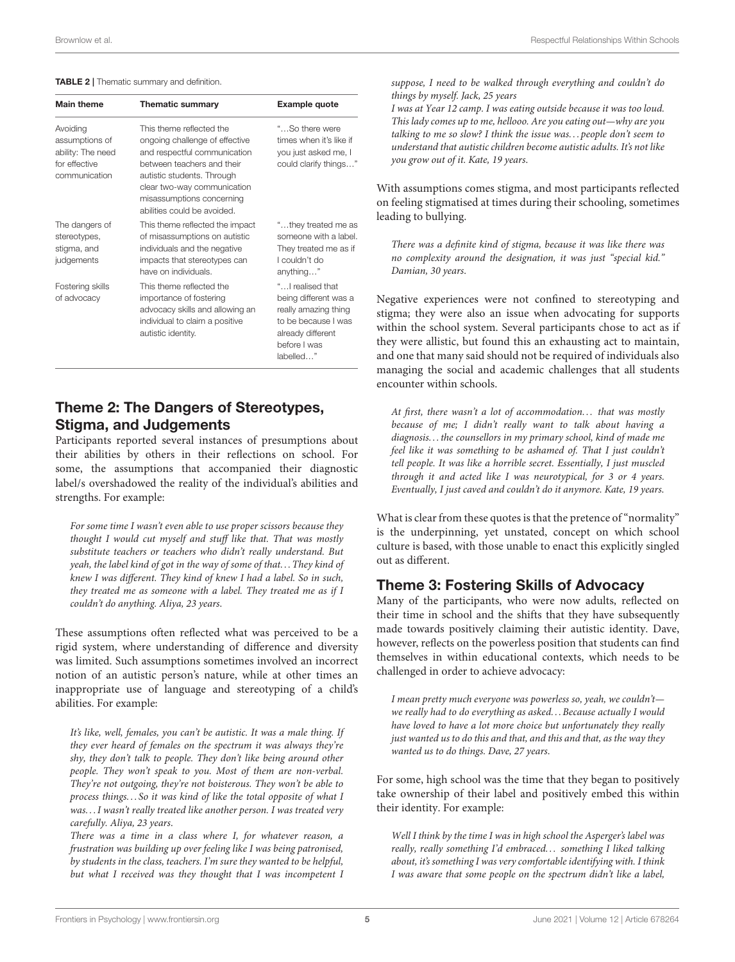#### <span id="page-4-0"></span>TABLE 2 | Thematic summary and definition.

| <b>Main theme</b>                                                                 | <b>Thematic summary</b>                                                                                                                                                                                                                           | Example quote                                                                                                                               |
|-----------------------------------------------------------------------------------|---------------------------------------------------------------------------------------------------------------------------------------------------------------------------------------------------------------------------------------------------|---------------------------------------------------------------------------------------------------------------------------------------------|
| Avoiding<br>assumptions of<br>ability: The need<br>for effective<br>communication | This theme reflected the<br>ongoing challenge of effective<br>and respectful communication<br>between teachers and their<br>autistic students. Through<br>clear two-way communication<br>misassumptions concerning<br>abilities could be avoided. | "So there were<br>times when it's like if<br>you just asked me, I<br>could clarify things"                                                  |
| The dangers of<br>stereotypes,<br>stigma, and<br>judgements                       | This theme reflected the impact<br>of misassumptions on autistic<br>individuals and the negative<br>impacts that stereotypes can<br>have on individuals.                                                                                          | "they treated me as<br>someone with a label.<br>They treated me as if<br>Lcouldn't do<br>anything"                                          |
| Fostering skills<br>of advocacy                                                   | This theme reflected the<br>importance of fostering<br>advocacy skills and allowing an<br>individual to claim a positive<br>autistic identity.                                                                                                    | " I realised that<br>being different was a<br>really amazing thing<br>to be because I was<br>already different<br>before I was<br>labelled" |

# Theme 2: The Dangers of Stereotypes, Stigma, and Judgements

Participants reported several instances of presumptions about their abilities by others in their reflections on school. For some, the assumptions that accompanied their diagnostic label/s overshadowed the reality of the individual's abilities and strengths. For example:

For some time I wasn't even able to use proper scissors because they thought I would cut myself and stuff like that. That was mostly substitute teachers or teachers who didn't really understand. But yeah, the label kind of got in the way of some of that. . . They kind of knew I was different. They kind of knew I had a label. So in such, they treated me as someone with a label. They treated me as if I couldn't do anything. Aliya, 23 years.

These assumptions often reflected what was perceived to be a rigid system, where understanding of difference and diversity was limited. Such assumptions sometimes involved an incorrect notion of an autistic person's nature, while at other times an inappropriate use of language and stereotyping of a child's abilities. For example:

It's like, well, females, you can't be autistic. It was a male thing. If they ever heard of females on the spectrum it was always they're shy, they don't talk to people. They don't like being around other people. They won't speak to you. Most of them are non-verbal. They're not outgoing, they're not boisterous. They won't be able to process things. . . So it was kind of like the total opposite of what I was. . . I wasn't really treated like another person. I was treated very carefully. Aliya, 23 years.

There was a time in a class where I, for whatever reason, a frustration was building up over feeling like I was being patronised, by students in the class, teachers. I'm sure they wanted to be helpful, but what I received was they thought that I was incompetent I suppose, I need to be walked through everything and couldn't do things by myself. Jack, 25 years

I was at Year 12 camp. I was eating outside because it was too loud. This lady comes up to me, hellooo. Are you eating out—why are you talking to me so slow? I think the issue was. . . people don't seem to understand that autistic children become autistic adults. It's not like you grow out of it. Kate, 19 years.

With assumptions comes stigma, and most participants reflected on feeling stigmatised at times during their schooling, sometimes leading to bullying.

There was a definite kind of stigma, because it was like there was no complexity around the designation, it was just "special kid." Damian, 30 years.

Negative experiences were not confined to stereotyping and stigma; they were also an issue when advocating for supports within the school system. Several participants chose to act as if they were allistic, but found this an exhausting act to maintain, and one that many said should not be required of individuals also managing the social and academic challenges that all students encounter within schools.

At first, there wasn't a lot of accommodation... that was mostly because of me; I didn't really want to talk about having a diagnosis. . . the counsellors in my primary school, kind of made me feel like it was something to be ashamed of. That I just couldn't tell people. It was like a horrible secret. Essentially, I just muscled through it and acted like I was neurotypical, for 3 or 4 years. Eventually, I just caved and couldn't do it anymore. Kate, 19 years.

What is clear from these quotes is that the pretence of "normality" is the underpinning, yet unstated, concept on which school culture is based, with those unable to enact this explicitly singled out as different.

# Theme 3: Fostering Skills of Advocacy

Many of the participants, who were now adults, reflected on their time in school and the shifts that they have subsequently made towards positively claiming their autistic identity. Dave, however, reflects on the powerless position that students can find themselves in within educational contexts, which needs to be challenged in order to achieve advocacy:

I mean pretty much everyone was powerless so, yeah, we couldn'twe really had to do everything as asked. . . Because actually I would have loved to have a lot more choice but unfortunately they really just wanted us to do this and that, and this and that, as the way they wanted us to do things. Dave, 27 years.

For some, high school was the time that they began to positively take ownership of their label and positively embed this within their identity. For example:

Well I think by the time I was in high school the Asperger's label was really, really something I'd embraced. . . something I liked talking about, it's something I was very comfortable identifying with. I think I was aware that some people on the spectrum didn't like a label,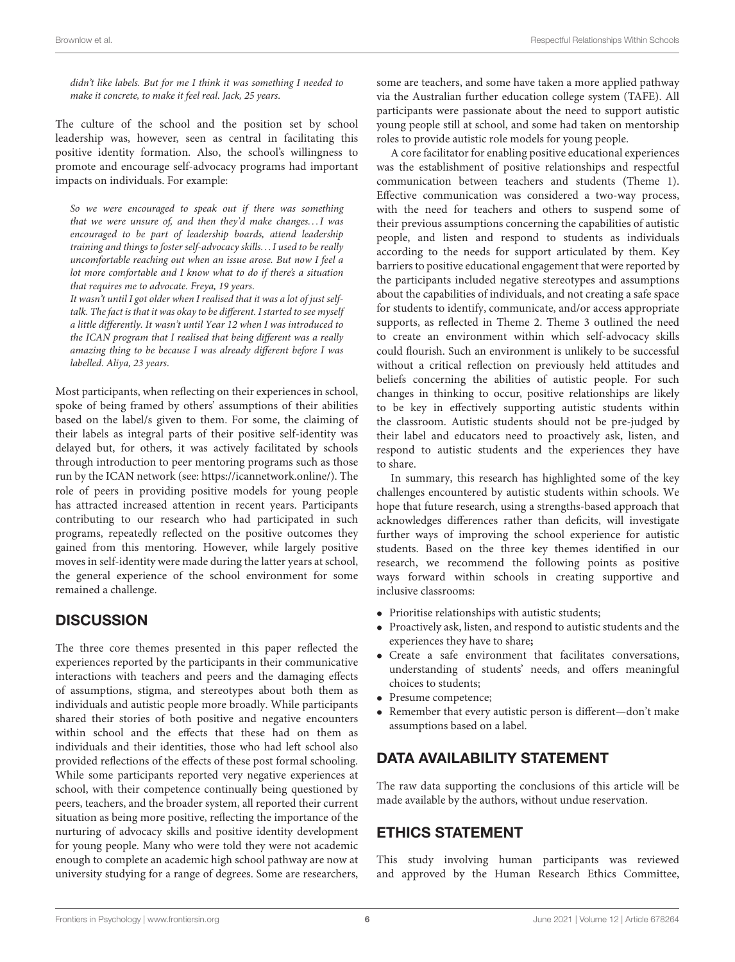didn't like labels. But for me I think it was something I needed to make it concrete, to make it feel real. Jack, 25 years.

The culture of the school and the position set by school leadership was, however, seen as central in facilitating this positive identity formation. Also, the school's willingness to promote and encourage self-advocacy programs had important impacts on individuals. For example:

So we were encouraged to speak out if there was something that we were unsure of, and then they'd make changes... I was encouraged to be part of leadership boards, attend leadership training and things to foster self-advocacy skills. . . I used to be really uncomfortable reaching out when an issue arose. But now I feel a lot more comfortable and I know what to do if there's a situation that requires me to advocate. Freya, 19 years.

It wasn't until I got older when I realised that it was a lot of just selftalk. The fact is that it was okay to be different. I started to see myself a little differently. It wasn't until Year 12 when I was introduced to the ICAN program that I realised that being different was a really amazing thing to be because I was already different before I was labelled. Aliya, 23 years.

Most participants, when reflecting on their experiences in school, spoke of being framed by others' assumptions of their abilities based on the label/s given to them. For some, the claiming of their labels as integral parts of their positive self-identity was delayed but, for others, it was actively facilitated by schools through introduction to peer mentoring programs such as those run by the ICAN network (see: [https://icannetwork.online/\)](https://icannetwork.online/). The role of peers in providing positive models for young people has attracted increased attention in recent years. Participants contributing to our research who had participated in such programs, repeatedly reflected on the positive outcomes they gained from this mentoring. However, while largely positive moves in self-identity were made during the latter years at school, the general experience of the school environment for some remained a challenge.

# **DISCUSSION**

The three core themes presented in this paper reflected the experiences reported by the participants in their communicative interactions with teachers and peers and the damaging effects of assumptions, stigma, and stereotypes about both them as individuals and autistic people more broadly. While participants shared their stories of both positive and negative encounters within school and the effects that these had on them as individuals and their identities, those who had left school also provided reflections of the effects of these post formal schooling. While some participants reported very negative experiences at school, with their competence continually being questioned by peers, teachers, and the broader system, all reported their current situation as being more positive, reflecting the importance of the nurturing of advocacy skills and positive identity development for young people. Many who were told they were not academic enough to complete an academic high school pathway are now at university studying for a range of degrees. Some are researchers, some are teachers, and some have taken a more applied pathway via the Australian further education college system (TAFE). All participants were passionate about the need to support autistic young people still at school, and some had taken on mentorship roles to provide autistic role models for young people.

A core facilitator for enabling positive educational experiences was the establishment of positive relationships and respectful communication between teachers and students (Theme 1). Effective communication was considered a two-way process, with the need for teachers and others to suspend some of their previous assumptions concerning the capabilities of autistic people, and listen and respond to students as individuals according to the needs for support articulated by them. Key barriers to positive educational engagement that were reported by the participants included negative stereotypes and assumptions about the capabilities of individuals, and not creating a safe space for students to identify, communicate, and/or access appropriate supports, as reflected in Theme 2. Theme 3 outlined the need to create an environment within which self-advocacy skills could flourish. Such an environment is unlikely to be successful without a critical reflection on previously held attitudes and beliefs concerning the abilities of autistic people. For such changes in thinking to occur, positive relationships are likely to be key in effectively supporting autistic students within the classroom. Autistic students should not be pre-judged by their label and educators need to proactively ask, listen, and respond to autistic students and the experiences they have to share.

In summary, this research has highlighted some of the key challenges encountered by autistic students within schools. We hope that future research, using a strengths-based approach that acknowledges differences rather than deficits, will investigate further ways of improving the school experience for autistic students. Based on the three key themes identified in our research, we recommend the following points as positive ways forward within schools in creating supportive and inclusive classrooms:

- Prioritise relationships with autistic students;
- Proactively ask, listen, and respond to autistic students and the experiences they have to share**;**
- Create a safe environment that facilitates conversations, understanding of students' needs, and offers meaningful choices to students;
- Presume competence;
- Remember that every autistic person is different—don't make assumptions based on a label.

# DATA AVAILABILITY STATEMENT

The raw data supporting the conclusions of this article will be made available by the authors, without undue reservation.

# ETHICS STATEMENT

This study involving human participants was reviewed and approved by the Human Research Ethics Committee,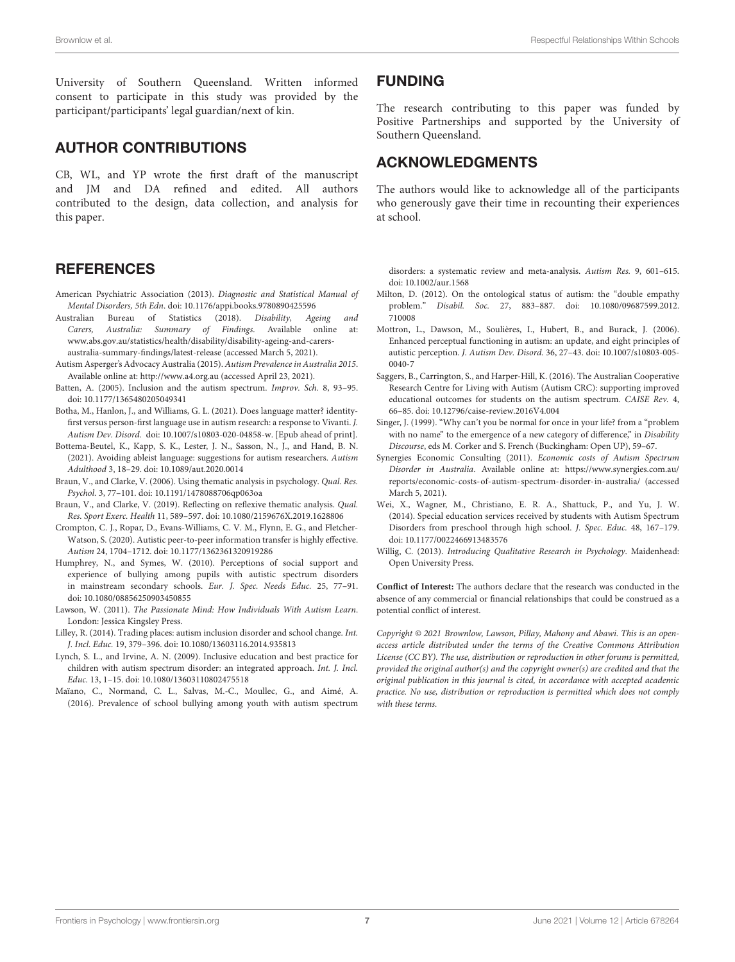University of Southern Queensland. Written informed consent to participate in this study was provided by the participant/participants' legal guardian/next of kin.

# AUTHOR CONTRIBUTIONS

CB, WL, and YP wrote the first draft of the manuscript and JM and DA refined and edited. All authors contributed to the design, data collection, and analysis for this paper.

# **REFERENCES**

- <span id="page-6-0"></span>American Psychiatric Association (2013). Diagnostic and Statistical Manual of Mental Disorders, 5th Edn. doi: [10.1176/appi.books.9780890425596](https://doi.org/10.1176/appi.books.9780890425596)
- <span id="page-6-9"></span>Australian Bureau of Statistics (2018). Disability, Ageing and Carers, Australia: Summary of Findings. Available online at: [www.abs.gov.au/statistics/health/disability/disability-ageing-and-carers](http://www.abs.gov.au/statistics/health/disability/disability-ageing-and-carers-australia-summary-findings/latest-release)australia-summary-findings/latest-release (accessed March 5, 2021).
- <span id="page-6-8"></span>Autism Asperger's Advocacy Australia (2015). Autism Prevalence in Australia 2015. Available online at:<http://www.a4.org.au> (accessed April 23, 2021).
- <span id="page-6-12"></span>Batten, A. (2005). Inclusion and the autism spectrum. Improv. Sch. 8, 93–95. doi: [10.1177/1365480205049341](https://doi.org/10.1177/1365480205049341)
- <span id="page-6-3"></span>Botha, M., Hanlon, J., and Williams, G. L. (2021). Does language matter? identityfirst versus person-first language use in autism research: a response to Vivanti. J. Autism Dev. Disord. doi: [10.1007/s10803-020-04858-w.](https://doi.org/10.1007/s10803-020-04858-w) [Epub ahead of print].
- <span id="page-6-4"></span>Bottema-Beutel, K., Kapp, S. K., Lester, J. N., Sasson, N., J., and Hand, B. N. (2021). Avoiding ableist language: suggestions for autism researchers. Autism Adulthood 3, 18–29. doi: [10.1089/aut.2020.0014](https://doi.org/10.1089/aut.2020.0014)
- <span id="page-6-18"></span>Braun, V., and Clarke, V. (2006). Using thematic analysis in psychology. Qual. Res. Psychol. 3, 77–101. doi: [10.1191/1478088706qp063oa](https://doi.org/10.1191/1478088706qp063oa)
- <span id="page-6-19"></span>Braun, V., and Clarke, V. (2019). Reflecting on reflexive thematic analysis. Qual. Res. Sport Exerc. Health 11, 589–597. doi: [10.1080/2159676X.2019.1628806](https://doi.org/10.1080/2159676X.2019.1628806)
- <span id="page-6-11"></span>Crompton, C. J., Ropar, D., Evans-Williams, C. V. M., Flynn, E. G., and Fletcher-Watson, S. (2020). Autistic peer-to-peer information transfer is highly effective. Autism 24, 1704–1712. doi: [10.1177/1362361320919286](https://doi.org/10.1177/1362361320919286)
- <span id="page-6-6"></span>Humphrey, N., and Symes, W. (2010). Perceptions of social support and experience of bullying among pupils with autistic spectrum disorders in mainstream secondary schools. Eur. J. Spec. Needs Educ. 25, 77–91. doi: [10.1080/08856250903450855](https://doi.org/10.1080/08856250903450855)
- <span id="page-6-1"></span>Lawson, W. (2011). The Passionate Mind: How Individuals With Autism Learn. London: Jessica Kingsley Press.
- <span id="page-6-10"></span>Lilley, R. (2014). Trading places: autism inclusion disorder and school change. Int. J. Incl. Educ. 19, 379–396. doi: [10.1080/13603116.2014.935813](https://doi.org/10.1080/13603116.2014.935813)
- <span id="page-6-13"></span>Lynch, S. L., and Irvine, A. N. (2009). Inclusive education and best practice for children with autism spectrum disorder: an integrated approach. Int. J. Incl. Educ. 13, 1–15. doi: [10.1080/13603110802475518](https://doi.org/10.1080/13603110802475518)
- <span id="page-6-7"></span>Maïano, C., Normand, C. L., Salvas, M.-C., Moullec, G., and Aimé, A. (2016). Prevalence of school bullying among youth with autism spectrum

### FUNDING

The research contributing to this paper was funded by Positive Partnerships and supported by the University of Southern Queensland.

# ACKNOWLEDGMENTS

The authors would like to acknowledge all of the participants who generously gave their time in recounting their experiences at school.

disorders: a systematic review and meta-analysis. Autism Res. 9, 601–615. doi: [10.1002/aur.1568](https://doi.org/10.1002/aur.1568)

- <span id="page-6-17"></span>Milton, D. (2012). On the ontological status of autism: the "double empathy problem." Disabil. Soc. [27, 883–887. doi: 10.1080/09687599.2012.](https://doi.org/10.1080/09687599.2012.710008) 710008
- <span id="page-6-2"></span>Mottron, L., Dawson, M., Soulières, I., Hubert, B., and Burack, J. (2006). Enhanced perceptual functioning in autism: an update, and eight principles of autistic perception. J. Autism Dev. Disord. [36, 27–43. doi: 10.1007/s10803-005-](https://doi.org/10.1007/s10803-005-0040-7) 0040-7
- <span id="page-6-15"></span>Saggers, B., Carrington, S., and Harper-Hill, K. (2016). The Australian Cooperative Research Centre for Living with Autism (Autism CRC): supporting improved educational outcomes for students on the autism spectrum. CAISE Rev. 4, 66–85. doi: [10.12796/caise-review.2016V4.004](https://doi.org/10.12796/caise-review.2016V4.004)
- <span id="page-6-16"></span>Singer, J. (1999). "Why can't you be normal for once in your life? from a "problem with no name" to the emergence of a new category of difference," in Disability Discourse, eds M. Corker and S. French (Buckingham: Open UP), 59–67.
- <span id="page-6-5"></span>Synergies Economic Consulting (2011). Economic costs of Autism Spectrum Disorder in Australia. Available online at: [https://www.synergies.com.au/](https://www.synergies.com.au/reports/economic-costs-of-autism-spectrum-disorder-in-australia/) [reports/economic-costs-of-autism-spectrum-disorder-in-australia/](https://www.synergies.com.au/reports/economic-costs-of-autism-spectrum-disorder-in-australia/) (accessed March 5, 2021).
- <span id="page-6-14"></span>Wei, X., Wagner, M., Christiano, E. R. A., Shattuck, P., and Yu, J. W. (2014). Special education services received by students with Autism Spectrum Disorders from preschool through high school. J. Spec. Educ. 48, 167–179. doi: [10.1177/0022466913483576](https://doi.org/10.1177/0022466913483576)
- <span id="page-6-20"></span>Willig, C. (2013). Introducing Qualitative Research in Psychology. Maidenhead: Open University Press.

**Conflict of Interest:** The authors declare that the research was conducted in the absence of any commercial or financial relationships that could be construed as a potential conflict of interest.

Copyright © 2021 Brownlow, Lawson, Pillay, Mahony and Abawi. This is an openaccess article distributed under the terms of the [Creative Commons Attribution](http://creativecommons.org/licenses/by/4.0/) [License \(CC BY\).](http://creativecommons.org/licenses/by/4.0/) The use, distribution or reproduction in other forums is permitted, provided the original author(s) and the copyright owner(s) are credited and that the original publication in this journal is cited, in accordance with accepted academic practice. No use, distribution or reproduction is permitted which does not comply with these terms.